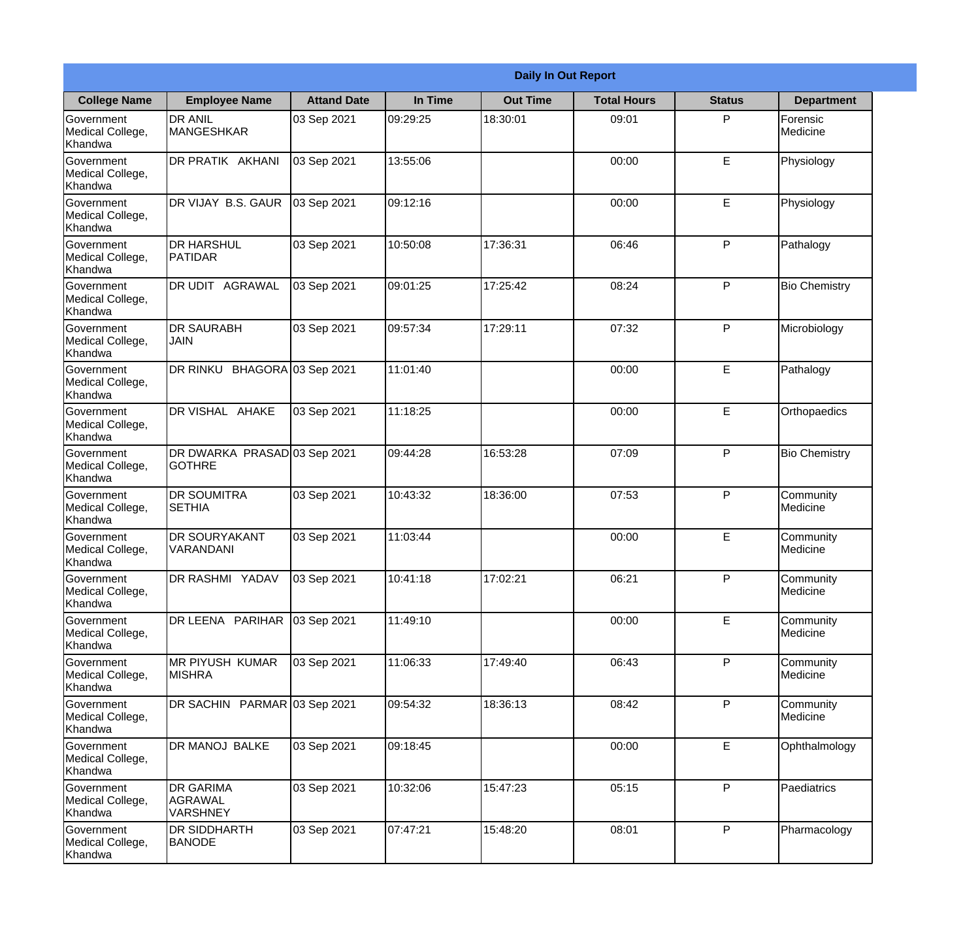|                                           |                                                |                    |          | <b>Daily In Out Report</b> |                    |               |                       |
|-------------------------------------------|------------------------------------------------|--------------------|----------|----------------------------|--------------------|---------------|-----------------------|
| <b>College Name</b>                       | <b>Employee Name</b>                           | <b>Attand Date</b> | In Time  | <b>Out Time</b>            | <b>Total Hours</b> | <b>Status</b> | <b>Department</b>     |
| Government<br>Medical College,<br>Khandwa | <b>DR ANIL</b><br><b>MANGESHKAR</b>            | 03 Sep 2021        | 09:29:25 | 18:30:01                   | 09:01              | P             | Forensic<br>Medicine  |
| Government<br>Medical College,<br>Khandwa | DR PRATIK AKHANI                               | 03 Sep 2021        | 13:55:06 |                            | 00:00              | E             | Physiology            |
| Government<br>Medical College,<br>Khandwa | DR VIJAY B.S. GAUR                             | 03 Sep 2021        | 09:12:16 |                            | 00:00              | E             | Physiology            |
| Government<br>Medical College,<br>Khandwa | <b>DR HARSHUL</b><br>PATIDAR                   | 03 Sep 2021        | 10:50:08 | 17:36:31                   | 06:46              | P             | Pathalogy             |
| Government<br>Medical College,<br>Khandwa | DR UDIT AGRAWAL                                | 03 Sep 2021        | 09:01:25 | 17:25:42                   | 08:24              | P             | <b>Bio Chemistry</b>  |
| Government<br>Medical College,<br>Khandwa | <b>DR SAURABH</b><br><b>JAIN</b>               | 03 Sep 2021        | 09:57:34 | 17:29:11                   | 07:32              | P             | Microbiology          |
| Government<br>Medical College,<br>Khandwa | DR RINKU BHAGORA 03 Sep 2021                   |                    | 11:01:40 |                            | 00:00              | E             | Pathalogy             |
| Government<br>Medical College,<br>Khandwa | DR VISHAL AHAKE                                | 03 Sep 2021        | 11:18:25 |                            | 00:00              | E             | Orthopaedics          |
| Government<br>Medical College,<br>Khandwa | DR DWARKA PRASAD 03 Sep 2021<br><b>GOTHRE</b>  |                    | 09:44:28 | 16:53:28                   | 07:09              | P             | <b>Bio Chemistry</b>  |
| Government<br>Medical College,<br>Khandwa | DR SOUMITRA<br><b>SETHIA</b>                   | 03 Sep 2021        | 10:43:32 | 18:36:00                   | 07:53              | P             | Community<br>Medicine |
| Government<br>Medical College,<br>Khandwa | DR SOURYAKANT<br>VARANDANI                     | 03 Sep 2021        | 11:03:44 |                            | 00:00              | E             | Community<br>Medicine |
| Government<br>Medical College,<br>Khandwa | DR RASHMI YADAV                                | 03 Sep 2021        | 10:41:18 | 17:02:21                   | 06:21              | P             | Community<br>Medicine |
| Government<br>Medical College,<br>Khandwa | DR LEENA PARIHAR                               | 03 Sep 2021        | 11:49:10 |                            | 00:00              | E             | Community<br>Medicine |
| Government<br>Medical College,<br>Khandwa | MR PIYUSH KUMAR<br><b>MISHRA</b>               | 03 Sep 2021        | 11:06:33 | 17:49:40                   | 06:43              | P             | Community<br>Medicine |
| Government<br>Medical College,<br>Khandwa | DR SACHIN PARMAR 03 Sep 2021                   |                    | 09:54:32 | 18:36:13                   | 08:42              | P             | Community<br>Medicine |
| Government<br>Medical College,<br>Khandwa | DR MANOJ BALKE                                 | 03 Sep 2021        | 09:18:45 |                            | 00:00              | E             | Ophthalmology         |
| Government<br>Medical College,<br>Khandwa | DR GARIMA<br><b>AGRAWAL</b><br><b>VARSHNEY</b> | 03 Sep 2021        | 10:32:06 | 15:47:23                   | 05:15              | P             | Paediatrics           |
| Government<br>Medical College,<br>Khandwa | DR SIDDHARTH<br><b>BANODE</b>                  | 03 Sep 2021        | 07:47:21 | 15:48:20                   | 08:01              | P             | Pharmacology          |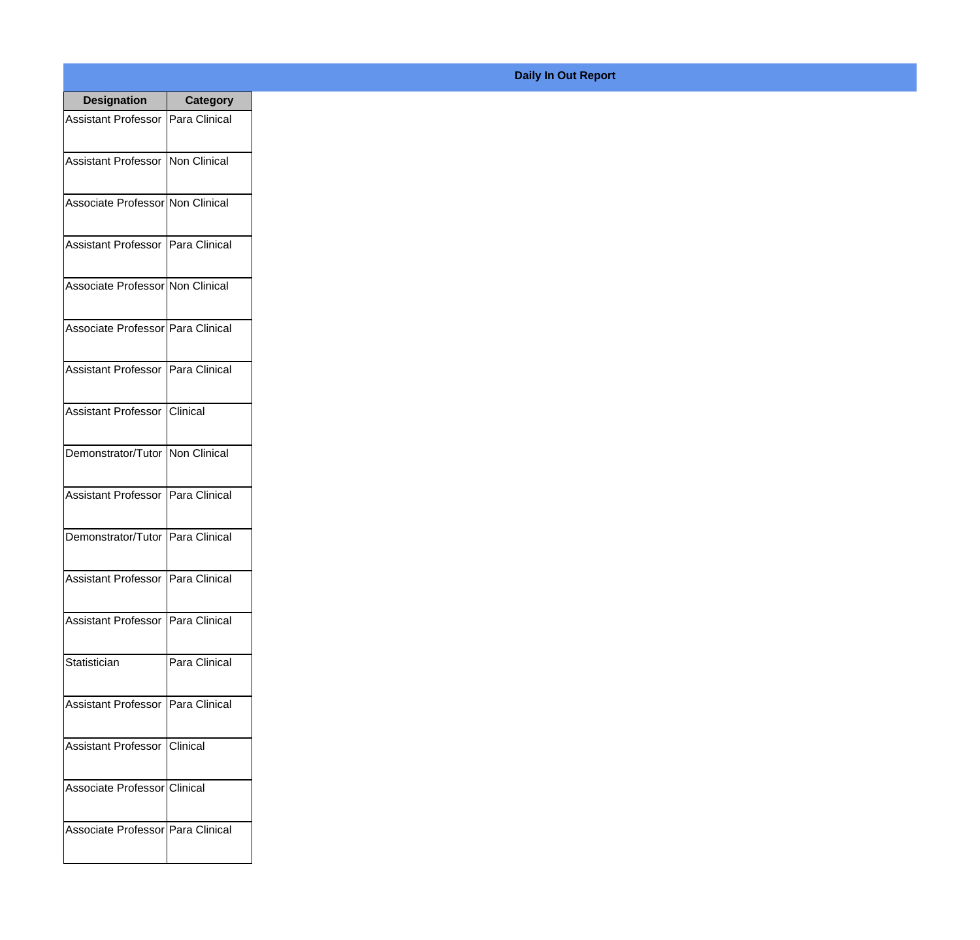| <b>Designation</b>                  | <b>Category</b>   |
|-------------------------------------|-------------------|
| Assistant Professor   Para Clinical |                   |
| Assistant Professor   Non Clinical  |                   |
| Associate Professor Non Clinical    |                   |
| Assistant Professor   Para Clinical |                   |
| Associate Professor Non Clinical    |                   |
| Associate Professor Para Clinical   |                   |
| Assistant Professor   Para Clinical |                   |
| Assistant Professor   Clinical      |                   |
| Demonstrator/Tutor   Non Clinical   |                   |
| <b>Assistant Professor</b>          | Para Clinical     |
| Demonstrator/Tutor                  | Para Clinical     |
| Assistant Professor   Para Clinical |                   |
| Assistant Professor   Para Clinical |                   |
| Statistician                        | Para Clinical     |
| <b>Assistant Professor</b>          | Para Clinical     |
| <b>Assistant Professor</b>          | <b>I</b> Clinical |
| Associate Professor Clinical        |                   |
| Associate Professor Para Clinical   |                   |

## **Daily In Out Report**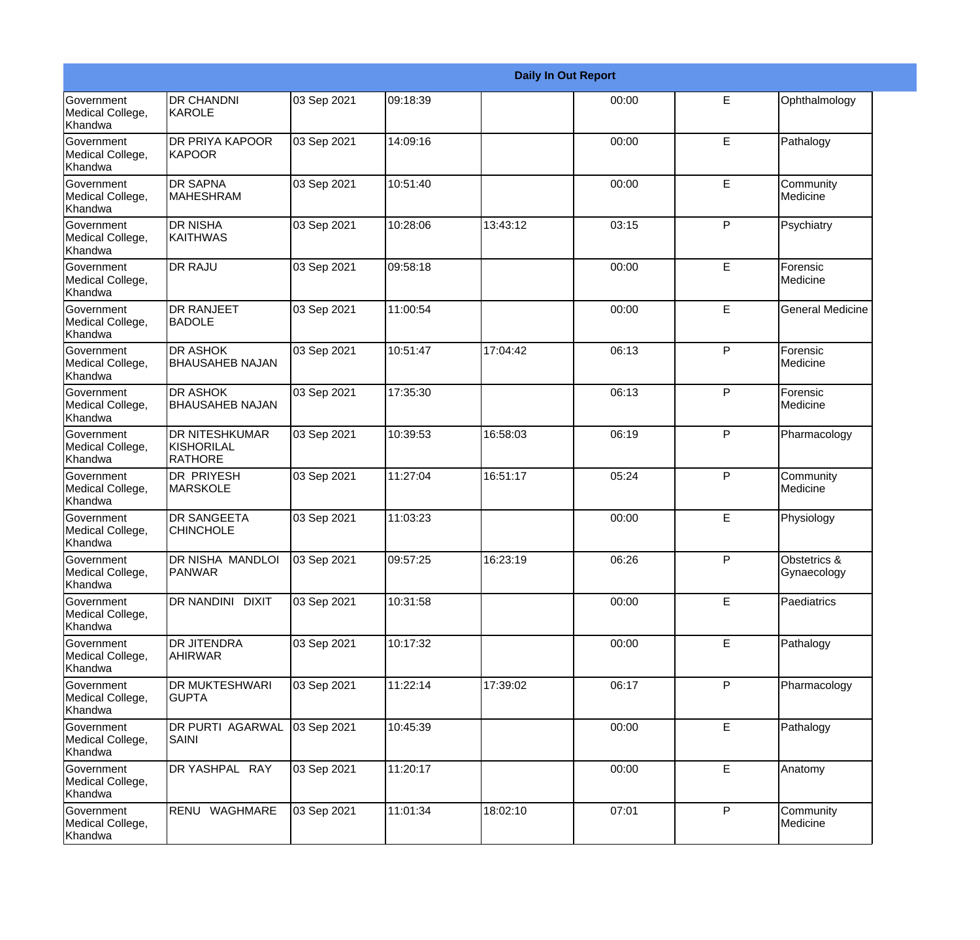|                                                  |                                                       |             |          |          | <b>Daily In Out Report</b> |              |                             |
|--------------------------------------------------|-------------------------------------------------------|-------------|----------|----------|----------------------------|--------------|-----------------------------|
| Government<br>Medical College,<br>Khandwa        | <b>DR CHANDNI</b><br>KAROLE                           | 03 Sep 2021 | 09:18:39 |          | 00:00                      | E            | Ophthalmology               |
| Government<br>Medical College,<br>Khandwa        | <b>DR PRIYA KAPOOR</b><br><b>KAPOOR</b>               | 03 Sep 2021 | 14:09:16 |          | 00:00                      | E            | Pathalogy                   |
| <b>Government</b><br>Medical College,<br>Khandwa | <b>DR SAPNA</b><br><b>MAHESHRAM</b>                   | 03 Sep 2021 | 10:51:40 |          | 00:00                      | E            | Community<br>Medicine       |
| Government<br>Medical College,<br>Khandwa        | <b>DR NISHA</b><br>KAITHWAS                           | 03 Sep 2021 | 10:28:06 | 13:43:12 | 03:15                      | P            | Psychiatry                  |
| Government<br>Medical College,<br>Khandwa        | <b>DR RAJU</b>                                        | 03 Sep 2021 | 09:58:18 |          | 00:00                      | E            | Forensic<br>Medicine        |
| Government<br>Medical College,<br>Khandwa        | <b>DR RANJEET</b><br><b>BADOLE</b>                    | 03 Sep 2021 | 11:00:54 |          | 00:00                      | E            | <b>General Medicine</b>     |
| Government<br>Medical College,<br>Khandwa        | <b>DR ASHOK</b><br><b>BHAUSAHEB NAJAN</b>             | 03 Sep 2021 | 10:51:47 | 17:04:42 | 06:13                      | P            | Forensic<br>Medicine        |
| Government<br>Medical College,<br>Khandwa        | <b>DR ASHOK</b><br><b>BHAUSAHEB NAJAN</b>             | 03 Sep 2021 | 17:35:30 |          | 06:13                      | $\mathsf{P}$ | Forensic<br>Medicine        |
| Government<br>Medical College,<br>Khandwa        | <b>DR NITESHKUMAR</b><br>KISHORILAL<br><b>RATHORE</b> | 03 Sep 2021 | 10:39:53 | 16:58:03 | 06:19                      | $\mathsf{P}$ | Pharmacology                |
| <b>Government</b><br>Medical College,<br>Khandwa | <b>DR PRIYESH</b><br><b>MARSKOLE</b>                  | 03 Sep 2021 | 11:27:04 | 16:51:17 | 05:24                      | P            | Community<br>Medicine       |
| <b>Government</b><br>Medical College,<br>Khandwa | <b>DR SANGEETA</b><br><b>CHINCHOLE</b>                | 03 Sep 2021 | 11:03:23 |          | 00:00                      | E            | Physiology                  |
| Government<br>Medical College,<br>Khandwa        | DR NISHA MANDLOI<br><b>PANWAR</b>                     | 03 Sep 2021 | 09:57:25 | 16:23:19 | 06:26                      | P            | Obstetrics &<br>Gynaecology |
| Government<br>Medical College,<br>Khandwa        | DR NANDINI DIXIT                                      | 03 Sep 2021 | 10:31:58 |          | 00:00                      | E            | Paediatrics                 |
| Government<br>Medical College,<br>Khandwa        | <b>DR JITENDRA</b><br><b>AHIRWAR</b>                  | 03 Sep 2021 | 10:17:32 |          | 00:00                      | E            | Pathalogy                   |
| Government<br>Medical College,<br>Khandwa        | <b>DR MUKTESHWARI</b><br><b>GUPTA</b>                 | 03 Sep 2021 | 11:22:14 | 17:39:02 | 06:17                      | P            | Pharmacology                |
| Government<br>Medical College,<br>Khandwa        | <b>DR PURTI AGARWAL</b><br>SAINI                      | 03 Sep 2021 | 10:45:39 |          | 00:00                      | E            | Pathalogy                   |
| Government<br>Medical College,<br>Khandwa        | DR YASHPAL RAY                                        | 03 Sep 2021 | 11:20:17 |          | 00:00                      | $\mathsf E$  | Anatomy                     |
| Government<br>Medical College,<br>Khandwa        | RENU WAGHMARE                                         | 03 Sep 2021 | 11:01:34 | 18:02:10 | 07:01                      | P            | Community<br>Medicine       |